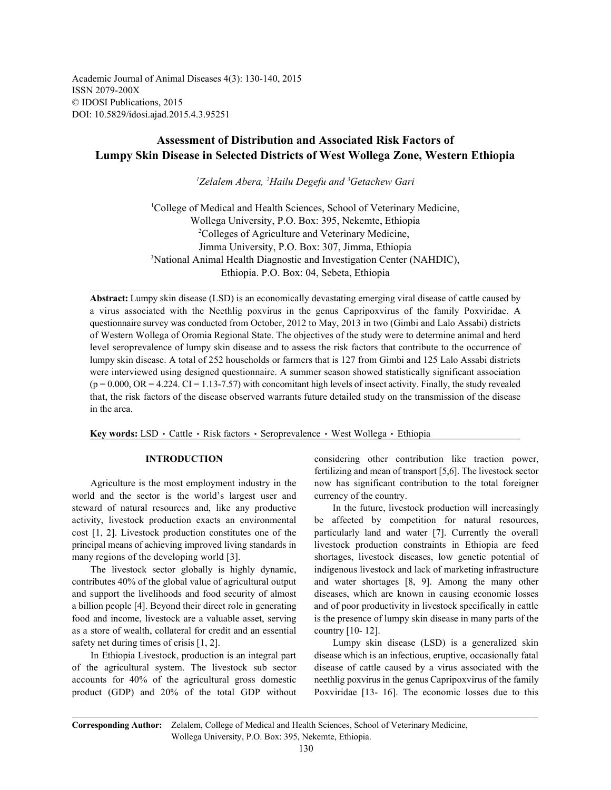Academic Journal of Animal Diseases 4(3): 130-140, 2015 ISSN 2079-200X © IDOSI Publications, 2015 DOI: 10.5829/idosi.ajad.2015.4.3.95251

# **Assessment of Distribution and Associated Risk Factors of Lumpy Skin Disease in Selected Districts of West Wollega Zone, Western Ethiopia**

<sup>1</sup>Zelalem Abera, <sup>2</sup>Hailu Degefu and <sup>3</sup>Getachew Gari

<sup>1</sup>College of Medical and Health Sciences, School of Veterinary Medicine, Wollega University, P.O. Box: 395, Nekemte, Ethiopia <sup>2</sup>Colleges of Agriculture and Veterinary Medicine, Jimma University, P.O. Box: 307, Jimma, Ethiopia <sup>3</sup>National Animal Health Diagnostic and Investigation Center (NAHDIC), Ethiopia. P.O. Box: 04, Sebeta, Ethiopia

**Abstract:** Lumpy skin disease (LSD) is an economically devastating emerging viral disease of cattle caused by a virus associated with the Neethlig poxvirus in the genus Capripoxvirus of the family Poxviridae. A questionnaire survey was conducted from October, 2012 to May, 2013 in two (Gimbi and Lalo Assabi) districts of Western Wollega of Oromia Regional State. The objectives of the study were to determine animal and herd level seroprevalence of lumpy skin disease and to assess the risk factors that contribute to the occurrence of lumpy skin disease. A total of 252 households or farmers that is 127 from Gimbi and 125 Lalo Assabi districts were interviewed using designed questionnaire. A summer season showed statistically significant association  $(p = 0.000, \text{OR} = 4.224, \text{CI} = 1.13 - 7.57)$  with concomitant high levels of insect activity. Finally, the study revealed that, the risk factors of the disease observed warrants future detailed study on the transmission of the disease in the area.

Key words: LSD · Cattle · Risk factors · Seroprevalence · West Wollega · Ethiopia

world and the sector is the world's largest user and currency of the country. principal means of achieving improved living standards in livestock production constraints in Ethiopia are feed

a billion people [4]. Beyond their direct role in generating and of poor productivity in livestock specifically in cattle as a store of wealth, collateral for credit and an essential country [10- 12]. safety net during times of crisis [1, 2]. Lumpy skin disease (LSD) is a generalized skin

of the agricultural system. The livestock sub sector disease of cattle caused by a virus associated with the accounts for 40% of the agricultural gross domestic neethlig poxvirus in the genus Capripoxvirus of the family product (GDP) and 20% of the total GDP without Poxviridae [13- 16]. The economic losses due to this

**INTRODUCTION** considering other contribution like traction power, Agriculture is the most employment industry in the now has significant contribution to the total foreigner fertilizing and mean of transport [5,6]. The livestock sector

steward of natural resources and, like any productive In the future, livestock production will increasingly activity, livestock production exacts an environmental be affected by competition for natural resources, cost [1, 2]. Livestock production constitutes one of the particularly land and water [7]. Currently the overall many regions of the developing world [3]. shortages, livestock diseases, low genetic potential of The livestock sector globally is highly dynamic, indigenous livestock and lack of marketing infrastructure contributes 40% of the global value of agricultural output and water shortages [8, 9]. Among the many other and support the livelihoods and food security of almost diseases, which are known in causing economic losses food and income, livestock are a valuable asset, serving is the presence of lumpy skin disease in many parts of the

In Ethiopia Livestock, production is an integral part disease which is an infectious, eruptive, occasionally fatal

**Corresponding Author:** Zelalem, College of Medical and Health Sciences, School of Veterinary Medicine, Wollega University, P.O. Box: 395, Nekemte, Ethiopia.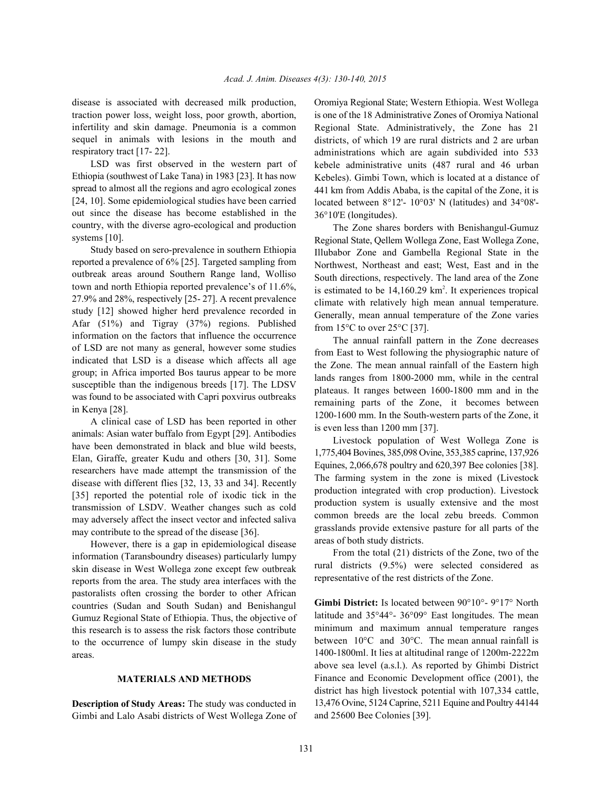traction power loss, weight loss, poor growth, abortion, infertility and skin damage. Pneumonia is a common sequel in animals with lesions in the mouth and respiratory tract [17- 22].

LSD was first observed in the western part of Ethiopia (southwest of Lake Tana) in 1983 [23]. It has now spread to almost all the regions and agro ecological zones [24, 10]. Some epidemiological studies have been carried out since the disease has become established in the country, with the diverse agro-ecological and production systems [10].

Study based on sero-prevalence in southern Ethiopia reported a prevalence of 6% [25]. Targeted sampling from outbreak areas around Southern Range land, Wolliso town and north Ethiopia reported prevalence's of 11.6%, 27.9% and 28%, respectively [25- 27]. A recent prevalence study [12] showed higher herd prevalence recorded in Afar (51%) and Tigray (37%) regions. Published information on the factors that influence the occurrence of LSD are not many as general, however some studies indicated that LSD is a disease which affects all age group; in Africa imported Bos taurus appear to be more susceptible than the indigenous breeds [17]. The LDSV was found to be associated with Capri poxvirus outbreaks in Kenya [28].

A clinical case of LSD has been reported in other animals: Asian water buffalo from Egypt [29]. Antibodies have been demonstrated in black and blue wild beests, Elan, Giraffe, greater Kudu and others [30, 31]. Some researchers have made attempt the transmission of the disease with different flies [32, 13, 33 and 34]. Recently [35] reported the potential role of ixodic tick in the transmission of LSDV. Weather changes such as cold may adversely affect the insect vector and infected saliva may contribute to the spread of the disease [36].

However, there is a gap in epidemiological disease information (Taransboundry diseases) particularly lumpy skin disease in West Wollega zone except few outbreak reports from the area. The study area interfaces with the pastoralists often crossing the border to other African countries (Sudan and South Sudan) and Benishangul Gumuz Regional State of Ethiopia. Thus, the objective of this research is to assess the risk factors those contribute to the occurrence of lumpy skin disease in the study areas.

### **MATERIALS AND METHODS**

**Description of Study Areas:** The study was conducted in Gimbi and Lalo Asabi districts of West Wollega Zone of

disease is associated with decreased milk production, Oromiya Regional State; Western Ethiopia. West Wollega is one of the 18 Administrative Zones of Oromiya National Regional State. Administratively, the Zone has 21 districts, of which 19 are rural districts and 2 are urban administrations which are again subdivided into 533 kebele administrative units (487 rural and 46 urban Kebeles). Gimbi Town, which is located at a distance of 441 km from Addis Ababa, is the capital of the Zone, it is located between 8°12'- 10°03' N (latitudes) and 34°08'- 36°10'E (longitudes).

> The Zone shares borders with Benishangul-Gumuz Regional State, Qellem Wollega Zone, East Wollega Zone, Illubabor Zone and Gambella Regional State in the Northwest, Northeast and east; West, East and in the South directions, respectively. The land area of the Zone is estimated to be  $14,160.29 \text{ km}^2$ . It experiences tropical climate with relatively high mean annual temperature. Generally, mean annual temperature of the Zone varies from  $15^{\circ}$ C to over  $25^{\circ}$ C [37].

> The annual rainfall pattern in the Zone decreases from East to West following the physiographic nature of the Zone. The mean annual rainfall of the Eastern high lands ranges from 1800-2000 mm, while in the central plateaus. It ranges between 1600-1800 mm and in the remaining parts of the Zone, it becomes between 1200-1600 mm. In the South-western parts of the Zone, it is even less than 1200 mm [37].

> Livestock population of West Wollega Zone is 1,775,404 Bovines, 385,098 Ovine, 353,385 caprine, 137,926 Equines, 2,066,678 poultry and 620,397 Bee colonies [38]. The farming system in the zone is mixed (Livestock production integrated with crop production). Livestock production system is usually extensive and the most common breeds are the local zebu breeds. Common grasslands provide extensive pasture for all parts of the areas of both study districts.

> From the total (21) districts of the Zone, two of the rural districts (9.5%) were selected considered as representative of the rest districts of the Zone.

> **Gimbi District:** Is located between 90°10°- 9°17° North latitude and 35°44°- 36°09° East longitudes. The mean minimum and maximum annual temperature ranges between 10°C and 30°C. The mean annual rainfall is 1400-1800ml. It lies at altitudinal range of 1200m-2222m above sea level (a.s.l.). As reported by Ghimbi District Finance and Economic Development office (2001), the district has high livestock potential with 107,334 cattle, 13,476 Ovine, 5124 Caprine, 5211 Equine and Poultry 44144 and 25600 Bee Colonies [39].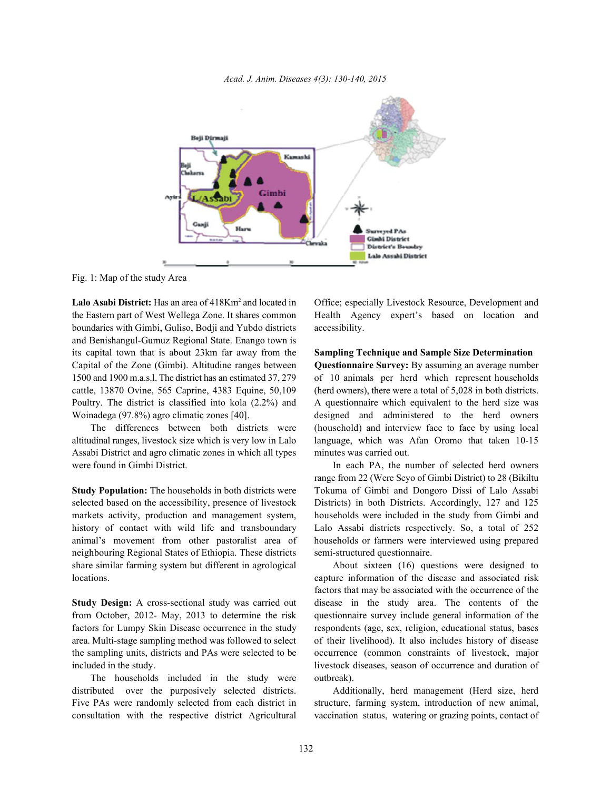



Fig. 1: Map of the study Area

the Eastern part of West Wellega Zone. It shares common Health Agency expert's based on location and boundaries with Gimbi, Guliso, Bodji and Yubdo districts accessibility. and Benishangul-Gumuz Regional State. Enango town is its capital town that is about 23km far away from the **Sampling Technique and Sample Size Determination** Capital of the Zone (Gimbi). Altitudine ranges between **Questionnaire Survey:** By assuming an average number 1500 and 1900 m.a.s.l. The district has an estimated 37, 279 of 10 animals per herd which represent households cattle, 13870 Ovine, 565 Caprine, 4383 Equine, 50,109 (herd owners), there were a total of 5,028 in both districts. Poultry. The district is classified into kola (2.2%) and A questionnaire which equivalent to the herd size was Woinadega (97.8%) agro climatic zones [40]. designed and administered to the herd owners

Assabi District and agro climatic zones in which all types minutes was carried out. were found in Gimbi District. In each PA, the number of selected herd owners

selected based on the accessibility, presence of livestock Districts) in both Districts. Accordingly, 127 and 125 markets activity, production and management system, households were included in the study from Gimbi and history of contact with wild life and transboundary Lalo Assabi districts respectively. So, a total of 252 animal's movement from other pastoralist area of households or farmers were interviewed using prepared neighbouring Regional States of Ethiopia. These districts semi-structured questionnaire. share similar farming system but different in agrological About sixteen (16) questions were designed to locations. capture information of the disease and associated risk

from October, 2012- May, 2013 to determine the risk questionnaire survey include general information of the factors for Lumpy Skin Disease occurrence in the study respondents (age, sex, religion, educational status, bases area. Multi-stage sampling method was followed to select of their livelihood). It also includes history of disease the sampling units, districts and PAs were selected to be occurrence (common constraints of livestock, major included in the study. livestock diseases, season of occurrence and duration of

The households included in the study were outbreak). distributed over the purposively selected districts. Additionally, herd management (Herd size, herd

**Lalo Asabi District:** Has an area of 418Km<sup>2</sup> and located in Office; especially Livestock Resource, Development and

The differences between both districts were (household) and interview face to face by using local altitudinal ranges, livestock size which is very low in Lalo language, which was Afan Oromo that taken 10-15

**Study Population:** The households in both districts were Tokuma of Gimbi and Dongoro Dissi of Lalo Assabi range from 22 (Were Seyo of Gimbi District) to 28 (Bikiltu

**Study Design:** A cross-sectional study was carried out disease in the study area. The contents of the factors that may be associated with the occurrence of the

Five PAs were randomly selected from each district in structure, farming system, introduction of new animal, consultation with the respective district Agricultural vaccination status, watering or grazing points, contact of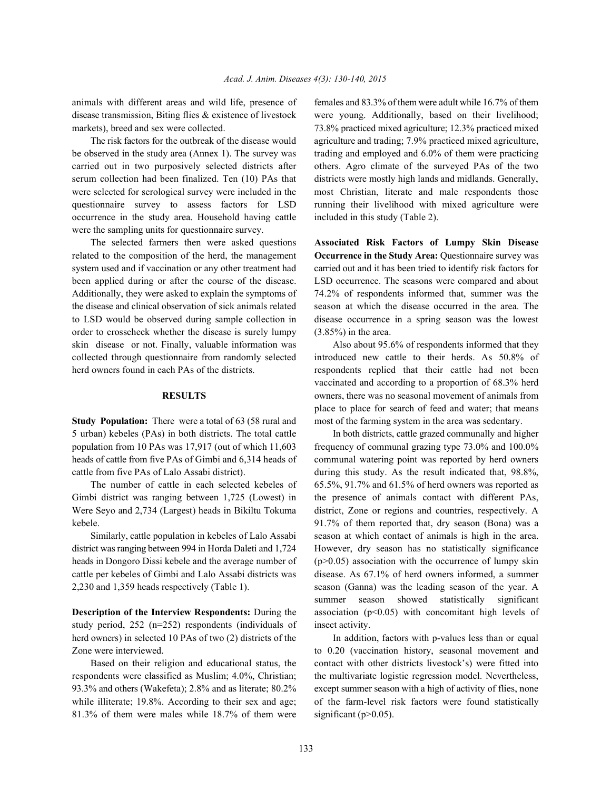animals with different areas and wild life, presence of females and 83.3% of them were adult while 16.7% of them

be observed in the study area (Annex 1). The survey was trading and employed and 6.0% of them were practicing carried out in two purposively selected districts after others. Agro climate of the surveyed PAs of the two serum collection had been finalized. Ten (10) PAs that districts were mostly high lands and midlands. Generally, were selected for serological survey were included in the most Christian, literate and male respondents those questionnaire survey to assess factors for LSD running their livelihood with mixed agriculture were occurrence in the study area. Household having cattle included in this study (Table 2). were the sampling units for questionnaire survey.

related to the composition of the herd, the management **Occurrence in the Study Area:** Questionnaire survey was system used and if vaccination or any other treatment had carried out and it has been tried to identify risk factors for been applied during or after the course of the disease. LSD occurrence. The seasons were compared and about Additionally, they were asked to explain the symptoms of 74.2% of respondents informed that, summer was the the disease and clinical observation of sick animals related season at which the disease occurred in the area. The to LSD would be observed during sample collection in disease occurrence in a spring season was the lowest order to crosscheck whether the disease is surely lumpy (3.85%) in the area. skin disease or not. Finally, valuable information was Also about 95.6% of respondents informed that they collected through questionnaire from randomly selected introduced new cattle to their herds. As 50.8% of herd owners found in each PAs of the districts. respondents replied that their cattle had not been

5 urban) kebeles (PAs) in both districts. The total cattle In both districts, cattle grazed communally and higher population from 10 PAs was 17,917 (out of which 11,603 frequency of communal grazing type 73.0% and 100.0% heads of cattle from five PAs of Gimbi and 6,314 heads of communal watering point was reported by herd owners cattle from five PAs of Lalo Assabi district). during this study. As the result indicated that, 98.8%,

Gimbi district was ranging between 1,725 (Lowest) in the presence of animals contact with different PAs, Were Seyo and 2,734 (Largest) heads in Bikiltu Tokuma district, Zone or regions and countries, respectively. A kebele. 91.7% of them reported that, dry season (Bona) was a

district was ranging between 994 in Horda Daleti and 1,724 However, dry season has no statistically significance heads in Dongoro Dissi kebele and the average number of (p>0.05) association with the occurrence of lumpy skin cattle per kebeles of Gimbi and Lalo Assabi districts was disease. As 67.1% of herd owners informed, a summer

study period,  $252$  (n=252) respondents (individuals of insect activity. herd owners) in selected 10 PAs of two (2) districts of the In addition, factors with p-values less than or equal

81.3% of them were males while 18.7% of them were significant ( $p>0.05$ ).

disease transmission, Biting flies & existence of livestock were young. Additionally, based on their livelihood; markets), breed and sex were collected.  $\frac{73.8\%}{24.5}$  practiced mixed agriculture; 12.3% practiced mixed The risk factors for the outbreak of the disease would agriculture and trading; 7.9% practiced mixed agriculture,

The selected farmers then were asked questions **Associated Risk Factors of Lumpy Skin Disease**

**RESULTS** owners, there was no seasonal movement of animals from **Study Population:** There were a total of 63 (58 rural and most of the farming system in the area was sedentary. vaccinated and according to a proportion of 68.3% herd place to place for search of feed and water; that means

The number of cattle in each selected kebeles of  $65.5\%$ ,  $91.7\%$  and  $61.5\%$  of herd owners was reported as Similarly, cattle population in kebeles of Lalo Assabi season at which contact of animals is high in the area. 2,230 and 1,359 heads respectively (Table 1). season (Ganna) was the leading season of the year. A **Description of the Interview Respondents:** During the association (p<0.05) with concomitant high levels of summer season showed statistically significant

Zone were interviewed. to 0.20 (vaccination history, seasonal movement and Based on their religion and educational status, the contact with other districts livestock's) were fitted into respondents were classified as Muslim; 4.0%, Christian; the multivariate logistic regression model. Nevertheless, 93.3% and others (Wakefeta); 2.8% and as literate; 80.2% except summer season with a high of activity of flies, none while illiterate; 19.8%. According to their sex and age; of the farm-level risk factors were found statistically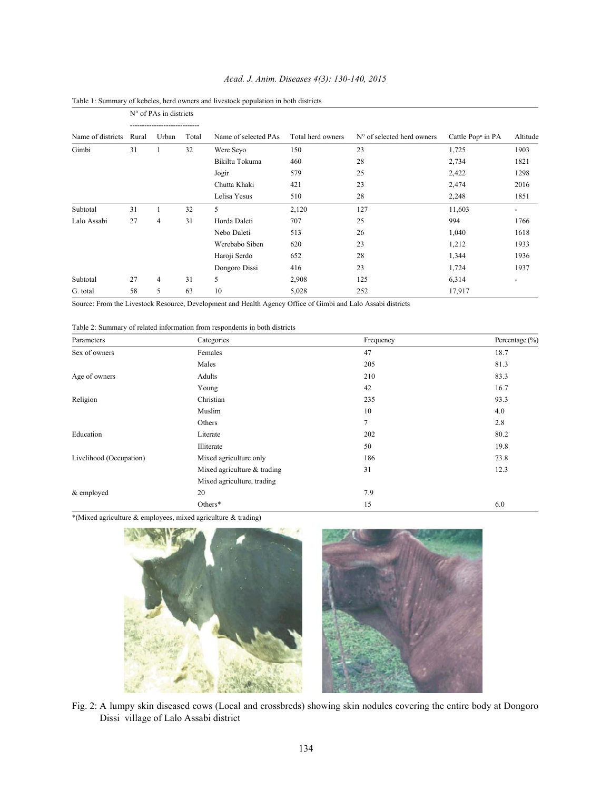|                   |       | $N^{\circ}$ of PAs in districts   |       |                      |                   |                                     |                               |          |
|-------------------|-------|-----------------------------------|-------|----------------------|-------------------|-------------------------------------|-------------------------------|----------|
| Name of districts | Rural | ------------------------<br>Urban | Total | Name of selected PAs | Total herd owners | $N^{\circ}$ of selected herd owners | Cattle Pop <sup>n</sup> in PA | Altitude |
| Gimbi             | 31    |                                   | 32    | Were Seyo            | 150               | 23                                  | 1,725                         | 1903     |
|                   |       |                                   |       | Bikiltu Tokuma       | 460               | 28                                  | 2,734                         | 1821     |
|                   |       |                                   |       | Jogir                | 579               | 25                                  | 2,422                         | 1298     |
|                   |       |                                   |       | Chutta Khaki         | 421               | 23                                  | 2,474                         | 2016     |
|                   |       |                                   |       | Lelisa Yesus         | 510               | 28                                  | 2,248                         | 1851     |
| Subtotal          | 31    |                                   | 32    | 5                    | 2,120             | 127                                 | 11,603                        |          |
| Lalo Assabi       | 27    | 4                                 | 31    | Horda Daleti         | 707               | 25                                  | 994                           | 1766     |
|                   |       |                                   |       | Nebo Daleti          | 513               | 26                                  | 1,040                         | 1618     |
|                   |       |                                   |       | Werebabo Siben       | 620               | 23                                  | 1,212                         | 1933     |
|                   |       |                                   |       | Haroji Serdo         | 652               | 28                                  | 1,344                         | 1936     |
|                   |       |                                   |       | Dongoro Dissi        | 416               | 23                                  | 1,724                         | 1937     |
| Subtotal          | 27    | 4                                 | 31    | 5                    | 2,908             | 125                                 | 6,314                         |          |
| G. total          | 58    | 5                                 | 63    | 10                   | 5,028             | 252                                 | 17,917                        |          |

## *Acad. J. Anim. Diseases 4(3): 130-140, 2015*



Source: From the Livestock Resource, Development and Health Agency Office of Gimbi and Lalo Assabi districts

| Table 2: Summary of related information from respondents in both districts |  |  |  |
|----------------------------------------------------------------------------|--|--|--|
|----------------------------------------------------------------------------|--|--|--|

| Parameters              | Categories                  | Frequency | Percentage $(\% )$ |
|-------------------------|-----------------------------|-----------|--------------------|
| Sex of owners           | Females                     | 47        | 18.7               |
|                         | Males                       | 205       | 81.3               |
| Age of owners           | Adults                      | 210       | 83.3               |
|                         | Young                       | 42        | 16.7               |
| Religion                | Christian                   | 235       | 93.3               |
|                         | Muslim                      | 10        | 4.0                |
|                         | Others                      | 7         | 2.8                |
| Education               | Literate                    | 202       | 80.2               |
|                         | Illiterate                  | 50        | 19.8               |
| Livelihood (Occupation) | Mixed agriculture only      | 186       | 73.8               |
|                         | Mixed agriculture & trading | 31        | 12.3               |
|                         | Mixed agriculture, trading  |           |                    |
| & employed              | 20                          | 7.9       |                    |
|                         | Others*                     | 15        | 6.0                |

\*(Mixed agriculture & employees, mixed agriculture & trading)



Fig. 2: A lumpy skin diseased cows (Local and crossbreds) showing skin nodules covering the entire body at Dongoro Dissi village of Lalo Assabi district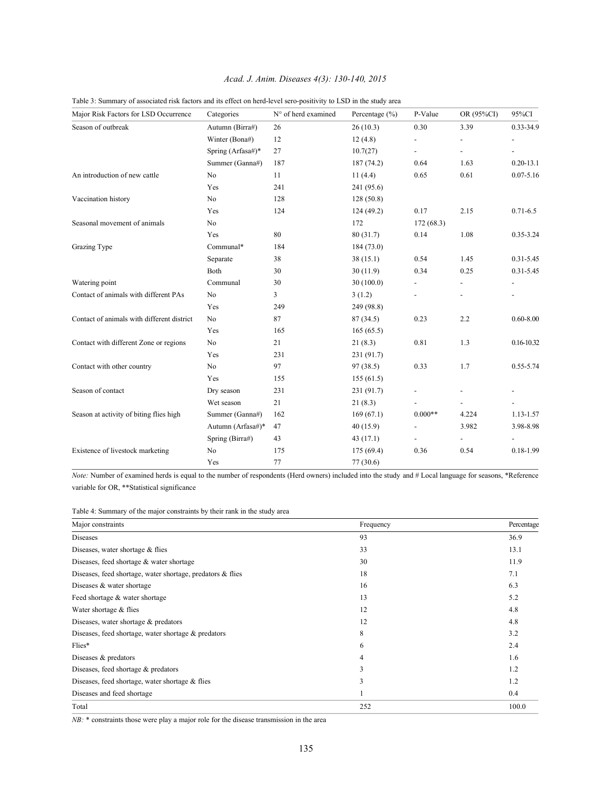# *Acad. J. Anim. Diseases 4(3): 130-140, 2015*

| Major Risk Factors for LSD Occurrence      | Categories        | N° of herd examined | Percentage $(\% )$ | P-Value        | OR (95%CI)               | 95%CI                    |
|--------------------------------------------|-------------------|---------------------|--------------------|----------------|--------------------------|--------------------------|
| Season of outbreak                         | Autumn (Birra#)   | 26                  | 26(10.3)           | 0.30           | 3.39                     | $0.33 - 34.9$            |
|                                            | Winter (Bona#)    | 12                  | 12(4.8)            |                | $\overline{\phantom{0}}$ |                          |
|                                            | Spring (Arfasa#)* | 27                  | 10.7(27)           |                | $\blacksquare$           |                          |
|                                            | Summer (Ganna#)   | 187                 | 187(74.2)          | 0.64           | 1.63                     | $0.20 - 13.1$            |
| An introduction of new cattle              | No                | 11                  | 11(4.4)            | 0.65           | 0.61                     | $0.07 - 5.16$            |
|                                            | Yes               | 241                 | 241 (95.6)         |                |                          |                          |
| Vaccination history                        | No                | 128                 | 128(50.8)          |                |                          |                          |
|                                            | Yes               | 124                 | 124(49.2)          | 0.17           | 2.15                     | $0.71 - 6.5$             |
| Seasonal movement of animals               | N <sub>0</sub>    |                     | 172                | 172(68.3)      |                          |                          |
|                                            | Yes               | 80                  | 80(31.7)           | 0.14           | 1.08                     | 0.35-3.24                |
| Grazing Type                               | Communal*         | 184                 | 184(73.0)          |                |                          |                          |
|                                            | Separate          | 38                  | 38(15.1)           | 0.54           | 1.45                     | $0.31 - 5.45$            |
|                                            | Both              | 30                  | 30(11.9)           | 0.34           | 0.25                     | $0.31 - 5.45$            |
| Watering point                             | Communal          | 30                  | 30(100.0)          | $\overline{a}$ | $\overline{\phantom{a}}$ | $\overline{\phantom{a}}$ |
| Contact of animals with different PAs      | N <sub>0</sub>    | 3                   | 3(1.2)             |                |                          |                          |
|                                            | Yes               | 249                 | 249 (98.8)         |                |                          |                          |
| Contact of animals with different district | N <sub>0</sub>    | 87                  | 87(34.5)           | 0.23           | 2.2                      | $0.60 - 8.00$            |
|                                            | Yes               | 165                 | 165(65.5)          |                |                          |                          |
| Contact with different Zone or regions     | No                | 21                  | 21(8.3)            | 0.81           | 1.3                      | 0.16-10.32               |
|                                            | Yes               | 231                 | 231(91.7)          |                |                          |                          |
| Contact with other country                 | No                | 97                  | 97(38.5)           | 0.33           | 1.7                      | $0.55 - 5.74$            |
|                                            | Yes               | 155                 | 155(61.5)          |                |                          |                          |
| Season of contact                          | Dry season        | 231                 | 231(91.7)          |                |                          |                          |
|                                            | Wet season        | 21                  | 21(8.3)            |                | $\overline{\phantom{a}}$ | $\overline{\phantom{a}}$ |
| Season at activity of biting flies high    | Summer (Ganna#)   | 162                 | 169(67.1)          | $0.000**$      | 4.224                    | 1.13-1.57                |
|                                            | Autumn (Arfasa#)* | 47                  | 40 (15.9)          |                | 3.982                    | 3.98-8.98                |
|                                            | Spring (Birra#)   | 43                  | 43(17.1)           |                |                          |                          |
| Existence of livestock marketing           | N <sub>0</sub>    | 175                 | 175(69.4)          | 0.36           | 0.54                     | $0.18 - 1.99$            |
|                                            | Yes               | 77                  | 77(30.6)           |                |                          |                          |

Table 3: Summary of associated risk factors and its effect on herd-level sero-positivity to LSD in the study area

*Note:* Number of examined herds is equal to the number of respondents (Herd owners) included into the study and # Local language for seasons, \*Reference variable for OR, \*\*Statistical significance

| Table 4: Summary of the major constraints by their rank in the study area |  |  |
|---------------------------------------------------------------------------|--|--|
|                                                                           |  |  |

| Major constraints                                             | Frequency      | Percentage |
|---------------------------------------------------------------|----------------|------------|
| <b>Diseases</b>                                               | 93             | 36.9       |
| Diseases, water shortage & flies                              | 33             | 13.1       |
| Diseases, feed shortage $&$ water shortage                    | 30             | 11.9       |
| Diseases, feed shortage, water shortage, predators $\&$ flies | 18             | 7.1        |
| Diseases & water shortage                                     | 16             | 6.3        |
| Feed shortage & water shortage                                | 13             | 5.2        |
| Water shortage & flies                                        | 12             | 4.8        |
| Diseases, water shortage $&$ predators                        | 12             | 4.8        |
| Diseases, feed shortage, water shortage $\&$ predators        | 8              | 3.2        |
| Flies*                                                        | 6              | 2.4        |
| Diseases $&$ predators                                        | $\overline{4}$ | 1.6        |
| Diseases, feed shortage $&$ predators                         | 3              | 1.2        |
| Diseases, feed shortage, water shortage $\&$ flies            | 3              | 1.2        |
| Diseases and feed shortage                                    |                | 0.4        |
| Total                                                         | 252            | 100.0      |

*NB*: \* constraints those were play a major role for the disease transmission in the area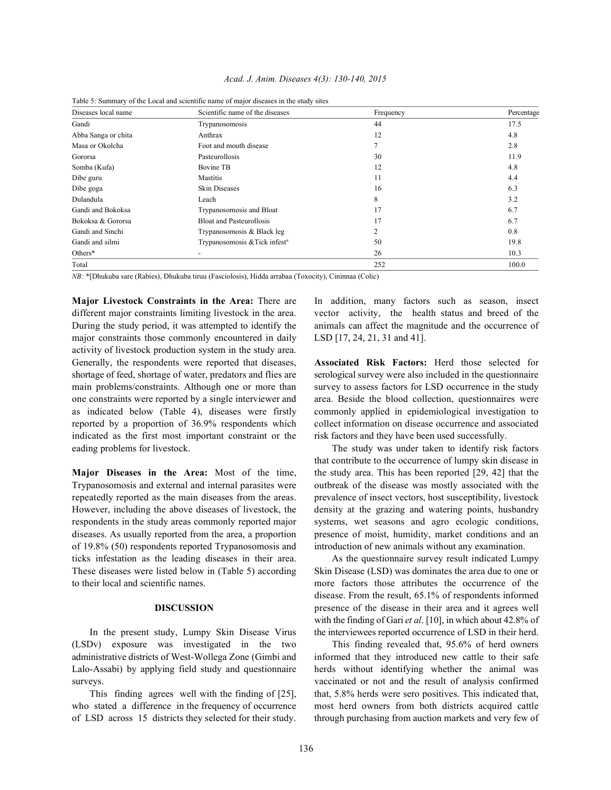| Acad. J. Anim. Diseases 4(3): 130-140, 2015 |  |  |  |  |
|---------------------------------------------|--|--|--|--|
|---------------------------------------------|--|--|--|--|

| Diseases local name | Scientific name of the diseases           | Frequency | Percentage |
|---------------------|-------------------------------------------|-----------|------------|
| Gandi               | Trypanosomosis                            | 44        | 17.5       |
| Abba Sanga or chita | Anthrax                                   | 12        | 4.8        |
| Masa or Okolcha     | Foot and mouth disease                    |           | 2.8        |
| Gororsa             | Pasteurollosis                            | 30        | 11.9       |
| Somba (Kufa)        | <b>Bovine TB</b>                          | 12        | 4.8        |
| Dibe guru           | <b>Mastitis</b>                           | 11        | 4.4        |
| Dibe goga           | <b>Skin Diseases</b>                      | 16        | 6.3        |
| Dulandula           | Leach                                     | 8         | 3.2        |
| Gandi and Bokoksa   | Trypanosomosis and Bloat                  | 17        | 6.7        |
| Bokoksa & Gororsa   | <b>Bloat and Pasteurollosis</b>           | 17        | 6.7        |
| Gandi and Sinchi    | Trypanosomosis & Black leg                | 2         | 0.8        |
| Gandi and silmi     | Trypanosomosis & Tick infest <sup>n</sup> | 50        | 19.8       |
| Others*             |                                           | 26        | 10.3       |
| Total               |                                           | 252       | 100.0      |

Table 5: Summary of the Local and scientific name of major diseases in the study sites

*NB:* \*[Dhukuba sare (Rabies), Dhukuba tiruu (Fasciolosis), Hidda arrabaa (Toxocity), Cininnaa (Colic)

**Major Livestock Constraints in the Area:** There are In addition, many factors such as season, insect different major constraints limiting livestock in the area. vector activity, the health status and breed of the During the study period, it was attempted to identify the animals can affect the magnitude and the occurrence of major constraints those commonly encountered in daily LSD [17, 24, 21, 31 and 41]. activity of livestock production system in the study area. Generally, the respondents were reported that diseases, **Associated Risk Factors:** Herd those selected for shortage of feed, shortage of water, predators and flies are serological survey were also included in the questionnaire main problems/constraints. Although one or more than survey to assess factors for LSD occurrence in the study one constraints were reported by a single interviewer and area. Beside the blood collection, questionnaires were as indicated below (Table 4), diseases were firstly commonly applied in epidemiological investigation to reported by a proportion of 36.9% respondents which collect information on disease occurrence and associated indicated as the first most important constraint or the risk factors and they have been used successfully. eading problems for livestock. The study was under taken to identify risk factors

Trypanosomosis and external and internal parasites were outbreak of the disease was mostly associated with the repeatedly reported as the main diseases from the areas. prevalence of insect vectors, host susceptibility, livestock However, including the above diseases of livestock, the density at the grazing and watering points, husbandry respondents in the study areas commonly reported major systems, wet seasons and agro ecologic conditions, diseases. As usually reported from the area, a proportion presence of moist, humidity, market conditions and an of 19.8% (50) respondents reported Trypanosomosis and introduction of new animals without any examination. ticks infestation as the leading diseases in their area. As the questionnaire survey result indicated Lumpy These diseases were listed below in (Table 5) according Skin Disease (LSD) was dominates the area due to one or to their local and scientific names. more factors those attributes the occurrence of the

(LSDv) exposure was investigated in the two This finding revealed that, 95.6% of herd owners administrative districts of West-Wollega Zone (Gimbi and informed that they introduced new cattle to their safe Lalo-Assabi) by applying field study and questionnaire herds without identifying whether the animal was surveys. vaccinated or not and the result of analysis confirmed

**Major Diseases in the Area:** Most of the time, the study area. This has been reported [29, 42] that the that contribute to the occurrence of lumpy skin disease in

**DISCUSSION** presence of the disease in their area and it agrees well In the present study, Lumpy Skin Disease Virus the interviewees reported occurrence of LSD in their herd. disease. From the result, 65.1% of respondents informed with the finding of Gari *et al*. [10], in which about 42.8% of

This finding agrees well with the finding of [25], that, 5.8% herds were sero positives. This indicated that, who stated a difference in the frequency of occurrence most herd owners from both districts acquired cattle of LSD across 15 districts they selected for their study. through purchasing from auction markets and very few of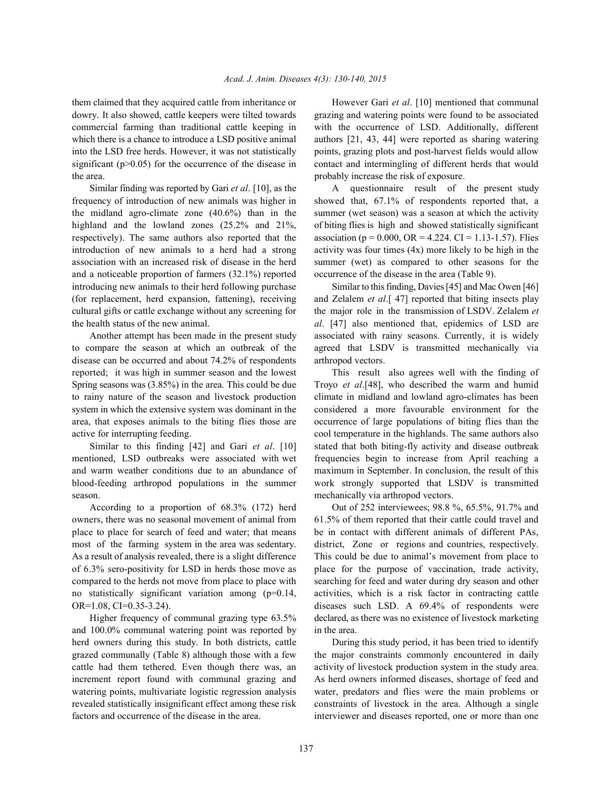dowry. It also showed, cattle keepers were tilted towards grazing and watering points were found to be associated commercial farming than traditional cattle keeping in with the occurrence of LSD. Additionally, different which there is a chance to introduce a LSD positive animal authors [21, 43, 44] were reported as sharing watering into the LSD free herds. However, it was not statistically points, grazing plots and post-harvest fields would allow significant (p>0.05) for the occurrence of the disease in contact and intermingling of different herds that would the area. probably increase the risk of exposure.

frequency of introduction of new animals was higher in showed that, 67.1% of respondents reported that, a the midland agro-climate zone (40.6%) than in the summer (wet season) was a season at which the activity highland and the lowland zones (25.2% and 21%, of biting flies is high and showed statistically significant respectively). The same authors also reported that the association ( $p = 0.000$ , OR = 4.224. CI = 1.13-1.57). Flies introduction of new animals to a herd had a strong activity was four times (4x) more likely to be high in the association with an increased risk of disease in the herd summer (wet) as compared to other seasons for the and a noticeable proportion of farmers (32.1%) reported occurrence of the disease in the area (Table 9). introducing new animals to their herd following purchase Similar to this finding, Davies [45] and Mac Owen [46] (for replacement, herd expansion, fattening), receiving and Zelalem *et al*.[ 47] reported that biting insects play cultural gifts or cattle exchange without any screening for the major role in the transmission of LSDV. Zelalem *et* the health status of the new animal. *al*. [47] also mentioned that, epidemics of LSD are

to compare the season at which an outbreak of the agreed that LSDV is transmitted mechanically via disease can be occurred and about 74.2% of respondents arthropod vectors. reported; it was high in summer season and the lowest This result also agrees well with the finding of Spring seasons was (3.85%) in the area. This could be due Troyo *et al*.[48], who described the warm and humid to rainy nature of the season and livestock production climate in midland and lowland agro-climates has been system in which the extensive system was dominant in the considered a more favourable environment for the area, that exposes animals to the biting flies those are occurrence of large populations of biting flies than the active for interrupting feeding. cool temperature in the highlands. The same authors also

mentioned, LSD outbreaks were associated with wet frequencies begin to increase from April reaching a and warm weather conditions due to an abundance of maximum in September. In conclusion, the result of this blood-feeding arthropod populations in the summer work strongly supported that LSDV is transmitted season. **Example 2** and the mechanically via arthropod vectors.

owners, there was no seasonal movement of animal from 61.5% of them reported that their cattle could travel and place to place for search of feed and water; that means be in contact with different animals of different PAs, most of the farming system in the area was sedentary. district, Zone or regions and countries, respectively. As a result of analysis revealed, there is a slight difference This could be due to animal's movement from place to of 6.3% sero-positivity for LSD in herds those move as place for the purpose of vaccination, trade activity, compared to the herds not move from place to place with searching for feed and water during dry season and other no statistically significant variation among (p=0.14, activities, which is a risk factor in contracting cattle OR=1.08, CI=0.35-3.24). diseases such LSD. A 69.4% of respondents were

and 100.0% communal watering point was reported by in the area. herd owners during this study. In both districts, cattle During this study period, it has been tried to identify grazed communally (Table 8) although those with a few the major constraints commonly encountered in daily cattle had them tethered. Even though there was, an activity of livestock production system in the study area. increment report found with communal grazing and As herd owners informed diseases, shortage of feed and watering points, multivariate logistic regression analysis water, predators and flies were the main problems or revealed statistically insignificant effect among these risk constraints of livestock in the area. Although a single factors and occurrence of the disease in the area. interviewer and diseases reported, one or more than one

them claimed that they acquired cattle from inheritance or However Gari *et al*. [10] mentioned that communal

Similar finding was reported by Gari *et al.* [10], as the A questionnaire result of the present study

Another attempt has been made in the present study associated with rainy seasons. Currently, it is widely

Similar to this finding [42] and Gari *et al*. [10] stated that both biting-fly activity and disease outbreak

According to a proportion of 68.3% (172) herd Out of 252 interviewees; 98.8 %, 65.5%, 91.7% and Higher frequency of communal grazing type 63.5% declared, as there was no existence of livestock marketing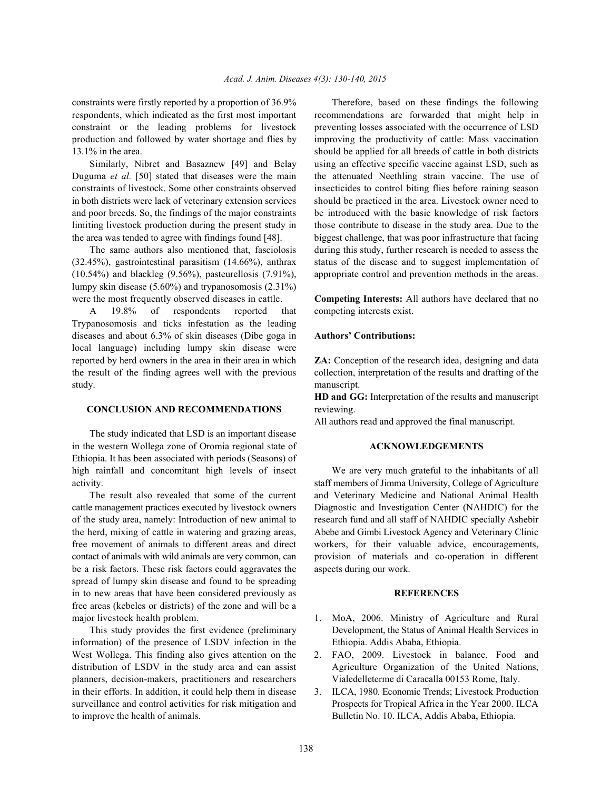respondents, which indicated as the first most important recommendations are forwarded that might help in constraint or the leading problems for livestock preventing losses associated with the occurrence of LSD production and followed by water shortage and flies by improving the productivity of cattle: Mass vaccination 13.1% in the area. should be applied for all breeds of cattle in both districts

Duguma *et al.* [50] stated that diseases were the main the attenuated Neethling strain vaccine. The use of constraints of livestock. Some other constraints observed insecticides to control biting flies before raining season in both districts were lack of veterinary extension services should be practiced in the area. Livestock owner need to and poor breeds. So, the findings of the major constraints be introduced with the basic knowledge of risk factors limiting livestock production during the present study in those contribute to disease in the study area. Due to the the area was tended to agree with findings found [48]. biggest challenge, that was poor infrastructure that facing

(32.45%), gastrointestinal parasitism (14.66%), anthrax status of the disease and to suggest implementation of (10.54%) and blackleg (9.56%), pasteurellosis (7.91%), appropriate control and prevention methods in the areas. lumpy skin disease (5.60%) and trypanosomosis (2.31%) were the most frequently observed diseases in cattle. **Competing Interests:** All authors have declared that no

A 19.8% of respondents reported that competing interests exist. Trypanosomosis and ticks infestation as the leading diseases and about 6.3% of skin diseases (Dibe goga in **Authors' Contributions:** local language) including lumpy skin disease were reported by herd owners in the area in their area in which **ZA:** Conception of the research idea, designing and data the result of the finding agrees well with the previous collection, interpretation of the results and drafting of the study. manuscript.

### **CONCLUSION AND RECOMMENDATIONS** reviewing.

The study indicated that LSD is an important disease in the western Wollega zone of Oromia regional state of **ACKNOWLEDGEMENTS** Ethiopia. It has been associated with periods (Seasons) of high rainfall and concomitant high levels of insect We are very much grateful to the inhabitants of all

cattle management practices executed by livestock owners Diagnostic and Investigation Center (NAHDIC) for the of the study area, namely: Introduction of new animal to research fund and all staff of NAHDIC specially Ashebir the herd, mixing of cattle in watering and grazing areas, Abebe and Gimbi Livestock Agency and Veterinary Clinic free movement of animals to different areas and direct workers, for their valuable advice, encouragements, contact of animals with wild animals are very common, can provision of materials and co-operation in different be a risk factors. These risk factors could aggravates the aspects during our work. spread of lumpy skin disease and found to be spreading in to new areas that have been considered previously as **REFERENCES** free areas (kebeles or districts) of the zone and will be a major livestock health problem. 1. MoA, 2006. Ministry of Agriculture and Rural

information) of the presence of LSDV infection in the Ethiopia. Addis Ababa, Ethiopia. West Wollega. This finding also gives attention on the 2. FAO, 2009. Livestock in balance. Food and planners, decision-makers, practitioners and researchers Vialedelleterme di Caracalla 00153 Rome, Italy. in their efforts. In addition, it could help them in disease 3. ILCA, 1980. Economic Trends; Livestock Production to improve the health of animals. Bulletin No. 10. ILCA, Addis Ababa, Ethiopia*.*

constraints were firstly reported by a proportion of 36.9% Therefore, based on these findings the following Similarly, Nibret and Basaznew [49] and Belay using an effective specific vaccine against LSD, such as The same authors also mentioned that, fasciolosis during this study, further research is needed to assess the

**HD and GG:** Interpretation of the results and manuscript

All authors read and approved the final manuscript.

activity. staff members of Jimma University, College of Agriculture The result also revealed that some of the current and Veterinary Medicine and National Animal Health

- This study provides the first evidence (preliminary Development, the Status of Animal Health Services in
- distribution of LSDV in the study area and can assist **Agriculture Organization** of the United Nations,
- surveillance and control activities for risk mitigation and Prospects for Tropical Africa in the Year 2000. ILCA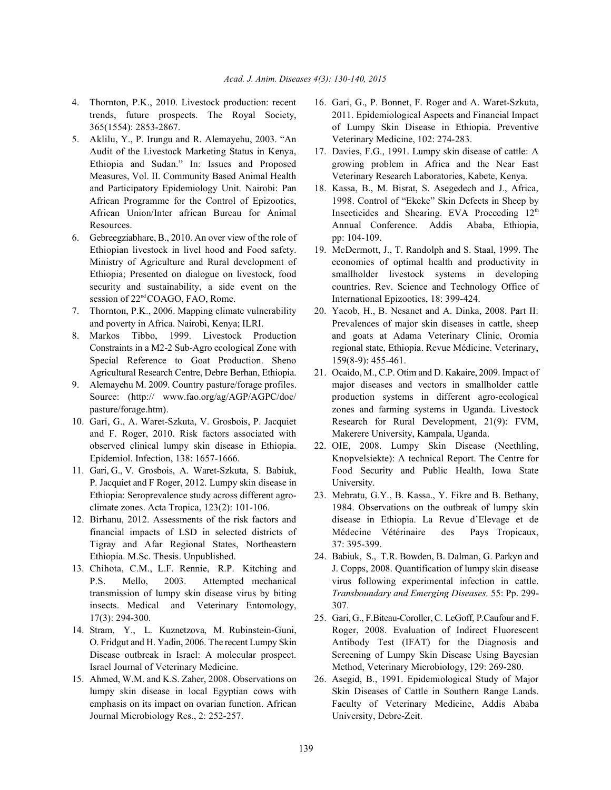- 
- 5. Aklilu, Y., P. Irungu and R. Alemayehu, 2003. "An Veterinary Medicine, 102: 274-283. Audit of the Livestock Marketing Status in Kenya, 17. Davies, F.G., 1991. Lumpy skin disease of cattle: A African Union/Inter african Bureau for Animal
- 6. Gebreegziabhare, B., 2010. An over view of the role of pp: 104-109. session of 22<sup>nd</sup> COAGO, FAO, Rome. International Epizootics, 18: 399-424.
- 
- Special Reference to Goat Production. Sheno 159(8-9): 455-461.
- 
- and F. Roger, 2010. Risk factors associated with Makerere University, Kampala, Uganda.
- P. Jacquiet and F Roger, 2012. Lumpy skin disease in University.
- Tigray and Afar Regional States, Northeastern 37: 395-399.
- insects. Medical and Veterinary Entomology, 307.
- 
- Journal Microbiology Res., 2: 252-257. University, Debre-Zeit.
- 4. Thornton, P.K., 2010. Livestock production: recent 16. Gari, G., P. Bonnet, F. Roger and A. Waret-Szkuta, trends, future prospects. The Royal Society, 2011. Epidemiological Aspects and Financial Impact 365(1554): 2853-2867. of Lumpy Skin Disease in Ethiopia. Preventive
	- Ethiopia and Sudan." In: Issues and Proposed growing problem in Africa and the Near East Measures, Vol. II. Community Based Animal Health Veterinary Research Laboratories, Kabete, Kenya.
	- and Participatory Epidemiology Unit. Nairobi: Pan 18. Kassa, B., M. Bisrat, S. Asegedech and J., Africa, African Programme for the Control of Epizootics, 1998. Control of "Ekeke" Skin Defects in Sheep by Resources. Annual Conference. Addis Ababa, Ethiopia, Insecticides and Shearing. EVA Proceeding 12<sup>th</sup>
	- Ethiopian livestock in livel hood and Food safety. 19. McDermott, J., T. Randolph and S. Staal, 1999. The Ministry of Agriculture and Rural development of economics of optimal health and productivity in Ethiopia; Presented on dialogue on livestock, food smallholder livestock systems in developing security and sustainability, a side event on the countries. Rev. Science and Technology Office of
- 7. Thornton, P.K., 2006. Mapping climate vulnerability 20. Yacob, H., B. Nesanet and A. Dinka, 2008. Part II: and poverty in Africa. Nairobi, Kenya; ILRI. Prevalences of major skin diseases in cattle, sheep 8. Markos Tibbo, 1999. Livestock Production and goats at Adama Veterinary Clinic, Oromia Constraints in a M2-2 Sub-Agro ecological Zone with regional state, Ethiopia. Revue Médicine. Veterinary,
- Agricultural Research Centre, Debre Berhan, Ethiopia. 21. Ocaido, M., C.P. Otim and D. Kakaire, 2009. Impact of 9. Alemayehu M. 2009. Country pasture/forage profiles. major diseases and vectors in smallholder cattle Source: (http:// www.fao.org/ag/AGP/AGPC/doc/ production systems in different agro-ecological pasture/forage.htm). zones and farming systems in Uganda. Livestock 10. Gari, G., A. Waret-Szkuta, V. Grosbois, P. Jacquiet Research for Rural Development, 21(9): FVM,
- observed clinical lumpy skin disease in Ethiopia. 22. OIE, 2008. Lumpy Skin Disease (Neethling, Epidemiol. Infection, 138: 1657-1666. Knopvelsiekte): A technical Report. The Centre for 11. Gari, G., V. Grosbois, A. Waret-Szkuta, S. Babiuk, Food Security and Public Health, Iowa State
- Ethiopia: Seroprevalence study across different agro- 23. Mebratu, G.Y., B. Kassa., Y. Fikre and B. Bethany, climate zones. Acta Tropica, 123(2): 101-106. 1984. Observations on the outbreak of lumpy skin 12. Birhanu, 2012. Assessments of the risk factors and disease in Ethiopia. La Revue d'Elevage et de financial impacts of LSD in selected districts of Médecine Vétérinaire des Pays Tropicaux,
- Ethiopia. M.Sc. Thesis. Unpublished. 24. Babiuk, S., T.R. Bowden, B. Dalman, G. Parkyn and 13. Chihota, C.M., L.F. Rennie, R.P. Kitching and J. Copps, 2008. Quantification of lumpy skin disease P.S. Mello, 2003. Attempted mechanical virus following experimental infection in cattle. transmission of lumpy skin disease virus by biting *Transboundary and Emerging Diseases,* 55: Pp. 299-
- 17(3): 294-300. 25. Gari, G., F.Biteau-Coroller, C. LeGoff, P.Caufour and F. 14. Stram, Y., L. Kuznetzova, M. Rubinstein-Guni, Roger, 2008. Evaluation of Indirect Fluorescent O. Fridgut and H. Yadin, 2006. The recent Lumpy Skin Antibody Test (IFAT) for the Diagnosis and Disease outbreak in Israel: A molecular prospect. Screening of Lumpy Skin Disease Using Bayesian Israel Journal of Veterinary Medicine. Method, Veterinary Microbiology, 129: 269-280.
- 15. Ahmed, W.M. and K.S. Zaher, 2008. Observations on 26. Asegid, B., 1991. Epidemiological Study of Major lumpy skin disease in local Egyptian cows with Skin Diseases of Cattle in Southern Range Lands. emphasis on its impact on ovarian function. African Faculty of Veterinary Medicine, Addis Ababa